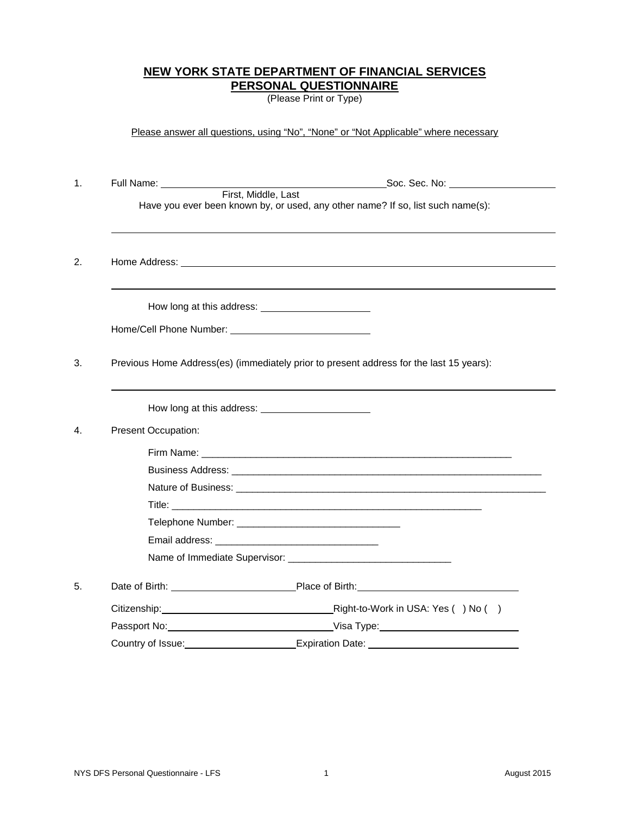## **NEW YORK STATE DEPARTMENT OF FINANCIAL SERVICES PERSONAL QUESTIONNAIRE**

(Please Print or Type)

Please answer all questions, using "No", "None" or "Not Applicable" where necessary

| 1. | Full Name: _____________   |                                                                                                        |
|----|----------------------------|--------------------------------------------------------------------------------------------------------|
|    |                            | First, Middle, Last<br>Have you ever been known by, or used, any other name? If so, list such name(s): |
| 2. |                            |                                                                                                        |
|    |                            |                                                                                                        |
|    |                            |                                                                                                        |
| 3. |                            | Previous Home Address(es) (immediately prior to present address for the last 15 years):                |
|    |                            |                                                                                                        |
| 4. | <b>Present Occupation:</b> |                                                                                                        |
|    |                            |                                                                                                        |
|    |                            |                                                                                                        |
|    |                            |                                                                                                        |
|    |                            |                                                                                                        |
|    |                            |                                                                                                        |
|    |                            |                                                                                                        |
|    |                            |                                                                                                        |
| 5. |                            |                                                                                                        |
|    |                            |                                                                                                        |
|    |                            |                                                                                                        |
|    | Country of Issue:          | <u> 1989 - Johann Barn, mars an t-Amerikaansk komponister (</u>                                        |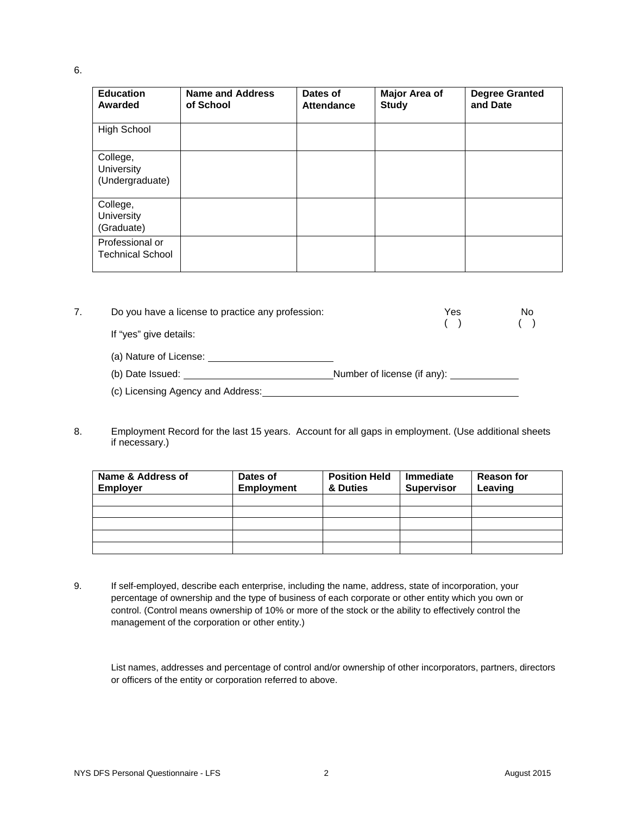## 6.

| <b>Education</b><br>Awarded                      | Name and Address<br>of School | Dates of<br><b>Attendance</b> | Major Area of<br><b>Study</b> | <b>Degree Granted</b><br>and Date |
|--------------------------------------------------|-------------------------------|-------------------------------|-------------------------------|-----------------------------------|
| <b>High School</b>                               |                               |                               |                               |                                   |
| College,<br><b>University</b><br>(Undergraduate) |                               |                               |                               |                                   |
| College,<br><b>University</b><br>(Graduate)      |                               |                               |                               |                                   |
| Professional or<br><b>Technical School</b>       |                               |                               |                               |                                   |

| 7. | Do you have a license to practice any profession: |                             | Yes | No. |
|----|---------------------------------------------------|-----------------------------|-----|-----|
|    | If "yes" give details:                            |                             |     |     |
|    | (a) Nature of License:                            |                             |     |     |
|    | (b) Date Issued:                                  | Number of license (if any): |     |     |
|    | (c) Licensing Agency and Address:                 |                             |     |     |

8. Employment Record for the last 15 years. Account for all gaps in employment. (Use additional sheets if necessary.)

| Name & Address of<br><b>Employer</b> | Dates of<br><b>Employment</b> | <b>Position Held</b><br>& Duties | Immediate<br><b>Supervisor</b> | <b>Reason for</b><br>Leaving |
|--------------------------------------|-------------------------------|----------------------------------|--------------------------------|------------------------------|
|                                      |                               |                                  |                                |                              |
|                                      |                               |                                  |                                |                              |
|                                      |                               |                                  |                                |                              |
|                                      |                               |                                  |                                |                              |
|                                      |                               |                                  |                                |                              |

9. If self-employed, describe each enterprise, including the name, address, state of incorporation, your percentage of ownership and the type of business of each corporate or other entity which you own or control. (Control means ownership of 10% or more of the stock or the ability to effectively control the management of the corporation or other entity.)

List names, addresses and percentage of control and/or ownership of other incorporators, partners, directors or officers of the entity or corporation referred to above.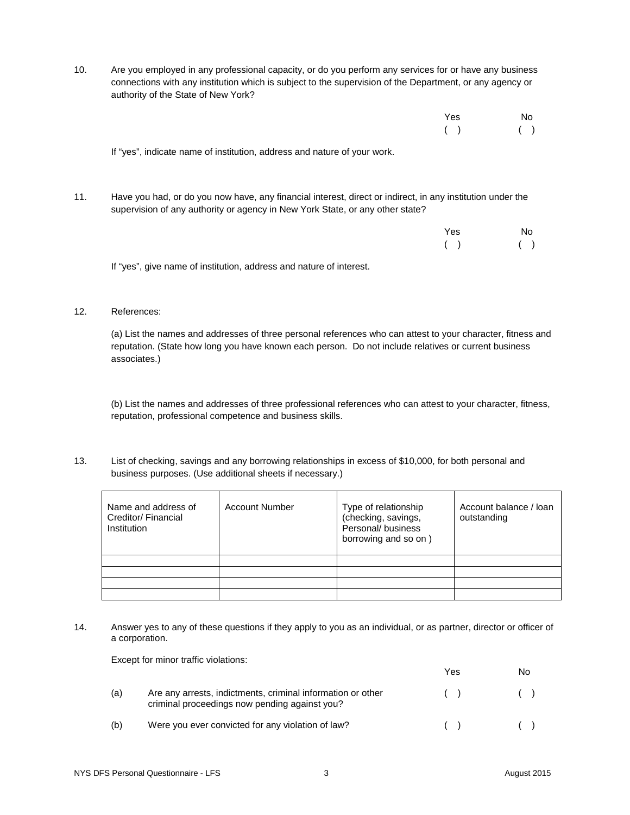10. Are you employed in any professional capacity, or do you perform any services for or have any business connections with any institution which is subject to the supervision of the Department, or any agency or authority of the State of New York?

| Yes No    |  |
|-----------|--|
| $( )$ ( ) |  |
|           |  |

If "yes", indicate name of institution, address and nature of your work.

11. Have you had, or do you now have, any financial interest, direct or indirect, in any institution under the supervision of any authority or agency in New York State, or any other state?

| Yes | No  |
|-----|-----|
| (   | ( ) |

If "yes", give name of institution, address and nature of interest.

## 12. References:

(a) List the names and addresses of three personal references who can attest to your character, fitness and reputation. (State how long you have known each person. Do not include relatives or current business associates.)

(b) List the names and addresses of three professional references who can attest to your character, fitness, reputation, professional competence and business skills.

13. List of checking, savings and any borrowing relationships in excess of \$10,000, for both personal and business purposes. (Use additional sheets if necessary.)

| Name and address of<br>Creditor/Financial<br>Institution | <b>Account Number</b> | Type of relationship<br>(checking, savings,<br>Personal/business<br>borrowing and so on) | Account balance / loan<br>outstanding |
|----------------------------------------------------------|-----------------------|------------------------------------------------------------------------------------------|---------------------------------------|
|                                                          |                       |                                                                                          |                                       |
|                                                          |                       |                                                                                          |                                       |
|                                                          |                       |                                                                                          |                                       |
|                                                          |                       |                                                                                          |                                       |

14. Answer yes to any of these questions if they apply to you as an individual, or as partner, director or officer of a corporation.

Except for minor traffic violations:

|     |                                                                                                              | Yes. | No    |
|-----|--------------------------------------------------------------------------------------------------------------|------|-------|
| (a) | Are any arrests, indictments, criminal information or other<br>criminal proceedings now pending against you? | (    | $($ ) |
| (b) | Were you ever convicted for any violation of law?                                                            |      | (     |